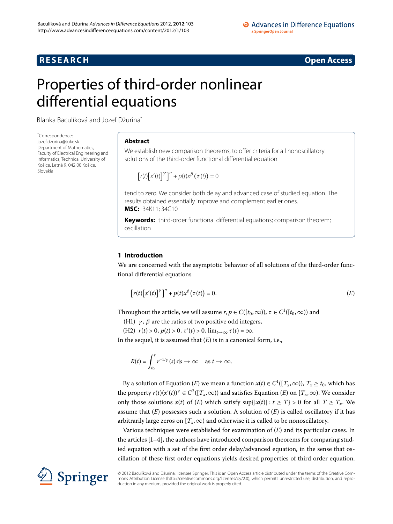# **R E S E A R C H Open Access**

# <span id="page-0-0"></span>Properties of third-order nonlinear differential equations

Blanka Baculíková and Jozef Džurina[\\*](#page-0-0)

\* Correspondence: [jozef.dzurina@tuke.sk](mailto:jozef.dzurina@tuke.sk) Department of Mathematics Faculty of Electrical Engineering and Informatics, Technical University of Košice, Letná 9, 042 00 Košice, Slovakia

# **Abstract**

We establish new comparison theorems, to offer criteria for all nonoscillatory solutions of the third-order functional differential equation

<span id="page-0-1"></span>
$$
\left[r(t)\left[x'(t)\right]^\gamma\right]'' + p(t)x^\beta\left(\tau(t)\right) = 0
$$

tend to zero. We consider both delay and advanced case of studied equation. The results obtained essentially improve and complement earlier ones. **MSC:** 34K11; 34C10

**Keywords:** third-order functional differential equations; comparison theorem; oscillation

# **1 Introduction**

We are concerned with the asymptotic behavior of all solutions of the third-order functional differential equations

$$
[r(t)[x'(t)]^{\gamma}]^{\prime\prime} + p(t)x^{\beta}(\tau(t)) = 0.
$$
 (E)

Throughout the article, we will assume  $r, p \in C([t_0, \infty))$ ,  $\tau \in C^1([t_0, \infty))$  and

(H1)  $\gamma$ ,  $\beta$  are the ratios of two positive odd integers,

(H2)  $r(t) > 0, p(t) > 0, \tau'(t) > 0, \lim_{t \to \infty} \tau(t) = \infty.$ 

In the sequel, it is assumed that (*[E](#page-0-1)*) is in a canonical form, i.e.,

$$
R(t) = \int_{t_0}^t r^{-1/\gamma}(s) \, ds \to \infty \quad \text{as } t \to \infty.
$$

By a solution of [E](#page-0-1)quation (*E*) we mean a function  $x(t) \in C^1([T_x,\infty))$ ,  $T_x \ge t_0$ , which has the property  $r(t)(x'(t))^{\gamma} \in C^2([T_x,\infty))$  and satisfies [E](#page-0-1)quation  $(E)$  on  $[T_x,\infty)$ . We consider only those solutions  $x(t)$  of  $(E)$  $(E)$  $(E)$  which satisfy  $\sup\{|x(t)| : t \geq T\} > 0$  for all  $T \geq T_x$ . We assume that  $(E)$  $(E)$  $(E)$  possesses such a solution. A solution of  $(E)$  is called oscillatory if it has arbitrarily large zeros on  $[T_x, \infty)$  and otherwise it is called to be nonoscillatory.

Various techniques were established for examination of (*[E](#page-0-1)*) and its particular cases. In the articles  $[1-4]$ , the authors have introduced comparison theorems for comparing studied equation with a set of the first order delay/advanced equation, in the sense that oscillation of these first order equations yields desired properties of third order equation.



© 2012 Baculíková and Džurina; licensee Springer. This is an Open Access article distributed under the terms of the Creative Commons Attribution License (<http://creativecommons.org/licenses/by/2.0>), which permits unrestricted use, distribution, and reproduction in any medium, provided the original work is properly cited.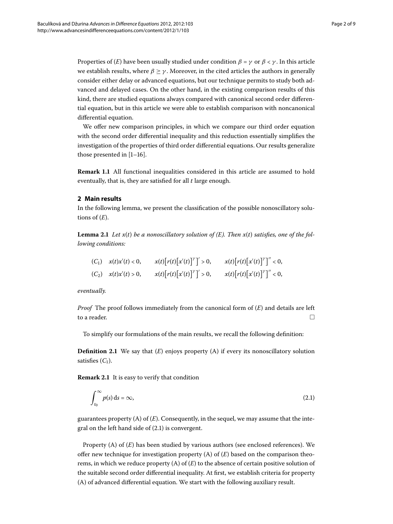Properties of (*[E](#page-0-1)*) have been usually studied under condition  $\beta = \gamma$  or  $\beta < \gamma$ . In this article we establish results, where  $\beta \geq \gamma$ . Moreover, in the cited articles the authors in generally consider either delay or advanced equations, but our technique permits to study both advanced and delayed cases. On the other hand, in the existing comparison results of this kind, there are studied equations always compared with canonical second order differential equation, but in this article we were able to establish comparison with noncanonical differential equation.

We offer new comparison principles, in which we compare our third order equation with the second order differential inequality and this reduction essentially simplifies the investigation of the properties of third order differential equations. Our results generalize those presented in  $[1-16]$  $[1-16]$ .

**Remark 1.1** All functional inequalities considered in this article are assumed to hold eventually, that is, they are satisfied for all *t* large enough.

# **2 Main results**

In the following lemma, we present the classification of the possible nonoscillatory solutions of  $(E)$  $(E)$  $(E)$ .

**Lemma 2.1** Let  $x(t)$  be a nonoscillatory solution of  $(E)$  $(E)$ . Then  $x(t)$  satisfies, one of the fol*lowing conditions:*

| $(C_1)$ $x(t)x'(t) < 0$ , | $x(t)[r(t)[x'(t)]^{\gamma}] > 0,$ | $x(t)[r(t)[x'(t)]^{\gamma}]'' < 0,$ |
|---------------------------|-----------------------------------|-------------------------------------|
| $(C_2)$ $x(t)x'(t) > 0$ , | $x(t)[r(t)[x'(t)]^{\gamma}] > 0,$ | $x(t)[r(t)[x'(t)]^{\gamma}]'' < 0,$ |

*eventually.*

*Proof* The proof follows immediately from the canonical form of (*[E](#page-0-1)*) and details are left to a reader.  $\Box$ 

<span id="page-1-0"></span>To simplify our formulations of the main results, we recall the following definition:

**Definition 2.1** We say that  $(E)$  $(E)$  $(E)$  enjoys property  $(A)$  if every its nonoscillatory solution satisfies  $(C_1)$ .

**Remark 2.1** It is easy to verify that condition

$$
\int_{t_0}^{\infty} p(s) \, \mathrm{d}s = \infty,\tag{2.1}
$$

guarantees property  $(A)$  of  $(E)$  $(E)$  $(E)$ . Consequently, in the sequel, we may assume that the integral on the left hand side of  $(2.1)$  $(2.1)$  $(2.1)$  is convergent.

Property (A) of ([E](#page-0-1)) has been studied by various authors (see enclosed references). We offer new technique for investigation property  $(A)$  of  $(E)$  $(E)$  $(E)$  based on the comparison theorems, in which we reduce property (A) of (*[E](#page-0-1)*) to the absence of certain positive solution of the suitable second order differential inequality. At first, we establish criteria for property (A) of advanced differential equation. We start with the following auxiliary result.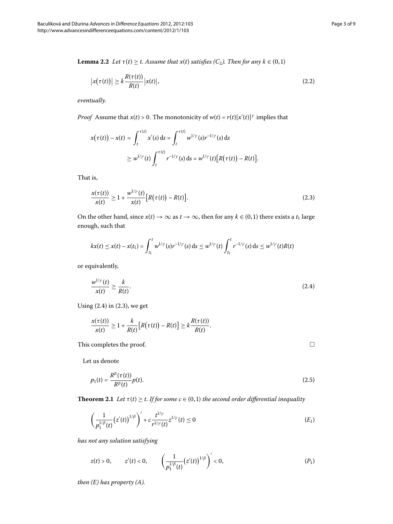<span id="page-2-2"></span>
$$
\left| x(\tau(t)) \right| \ge k \frac{R(\tau(t))}{R(t)} \left| x(t) \right|, \tag{2.2}
$$

*eventually.*

*Proof* Assume that  $x(t) > 0$ . The monotonicity of  $w(t) = r(t)[x'(t)]^{\gamma}$  implies that

<span id="page-2-1"></span>
$$
x(\tau(t)) - x(t) = \int_{t}^{\tau(t)} x'(s) ds = \int_{t}^{\tau(t)} w^{1/\gamma}(s) r^{-1/\gamma}(s) ds
$$
  
 
$$
\geq w^{1/\gamma}(t) \int_{t}^{\tau(t)} r^{-1/\gamma}(s) ds = w^{1/\gamma}(t) [R(\tau(t)) - R(t)].
$$

That is,

$$
\frac{x(\tau(t))}{x(t)} \ge 1 + \frac{w^{1/\gamma}(t)}{x(t)} \big[ R(\tau(t)) - R(t) \big].
$$
\n(2.3)

On the other hand, since  $x(t) \to \infty$  as  $t \to \infty$ , then for any  $k \in (0,1)$  there exists a  $t_1$  large enough, such that

$$
kx(t) \leq x(t) - x(t_1) = \int_{t_1}^t w^{1/\gamma}(s) r^{-1/\gamma}(s) ds \leq w^{1/\gamma}(t) \int_{t_1}^t r^{-1/\gamma}(s) ds \leq w^{1/\gamma}(t) R(t)
$$

or equivalently,

$$
\frac{w^{1/\gamma}(t)}{x(t)} \ge \frac{k}{R(t)}.\tag{2.4}
$$

Using  $(2.4)$  $(2.4)$  $(2.4)$  in  $(2.3)$ , we get

$$
\frac{x(\tau(t))}{x(t)} \geq 1 + \frac{k}{R(t)} \big[R(\tau(t)) - R(t)\big] \geq k \frac{R(\tau(t))}{R(t)}.
$$

<span id="page-2-5"></span>This completes the proof.

Let us denote

$$
p_1(t) = \frac{R^{\beta}(\tau(t))}{R^{\beta}(t)} p(t).
$$
\n(2.5)

**Theorem 2.1** *Let*  $\tau(t) \geq t$ *. If for some*  $c \in (0,1)$  *the second order differential inequality* 

$$
\left(\frac{1}{p_1^{1/\beta}(t)}(z'(t))^{1/\beta}\right)' + c\frac{t^{1/\gamma}}{r^{1/\gamma}(t)}z^{1/\gamma}(t) \le 0
$$
\n(E<sub>1</sub>)

*has not any solution satisfying*

$$
z(t) > 0
$$
,  $z'(t) < 0$ ,  $\left(\frac{1}{p_1^{1/\beta}(t)}(z'(t))^{1/\beta}\right)' < 0$ , (P<sub>1</sub>)

*then ([E\)](#page-0-1) has property (A).*

<span id="page-2-4"></span><span id="page-2-3"></span><span id="page-2-0"></span> $\Box$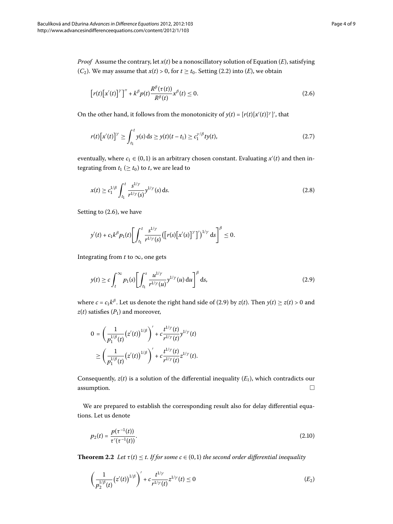<span id="page-3-0"></span>
$$
\left[r(t)\left[x'(t)\right]^\gamma\right]'' + k^\beta p(t)\frac{R^\beta(\tau(t))}{R^\beta(t)}x^\beta(t) \le 0.
$$
\n(2.6)

On the other hand, it follows from the monotonicity of  $y(t) = [r(t)[x'(t)]^{\gamma}]'$ , that

<span id="page-3-2"></span>
$$
r(t)[x'(t)]^{\gamma} \ge \int_{t_1}^t y(s) ds \ge y(t)(t-t_1) \ge c_1^{\gamma/\beta} ty(t), \qquad (2.7)
$$

eventually, where  $c_1 \in (0,1)$  is an arbitrary chosen constant. Evaluating  $x'(t)$  and then integrating from  $t_1 \geq t_0$  to *t*, we are lead to

$$
x(t) \ge c_1^{1/\beta} \int_{t_1}^t \frac{s^{1/\gamma}}{r^{1/\gamma}(s)} y^{1/\gamma}(s) \, ds. \tag{2.8}
$$

Setting to  $(2.6)$ , we have

<span id="page-3-1"></span>
$$
y'(t) + c_1 k^{\beta} p_1(t) \left[ \int_{t_1}^t \frac{s^{1/\gamma}}{r^{1/\gamma}(s)} \left( [r(s) [x'(s)]^{\gamma} ]' \right)^{1/\gamma} ds \right]^{\beta} \leq 0.
$$

Integrating from  $t$  to  $\infty$ , one gets

$$
y(t) \ge c \int_t^\infty p_1(s) \left[ \int_{t_1}^s \frac{u^{1/\gamma}}{r^{1/\gamma}(u)} y^{1/\gamma}(u) du \right]^\beta ds, \tag{2.9}
$$

where  $c = c_1 k^{\beta}$ . Let us denote the right hand side of (2.9) by  $z(t)$ . Then  $y(t) \ge z(t) > 0$  and  $z(t)$  satisfies  $(P_1)$  $(P_1)$  $(P_1)$  and moreover,

$$
0 = \left(\frac{1}{p_1^{1/\beta}(t)}(z'(t))^{1/\beta}\right)' + c\frac{t^{1/\gamma}(t)}{r^{1/\gamma}(t)}y^{1/\gamma}(t) \n\ge \left(\frac{1}{p_1^{1/\beta}(t)}(z'(t))^{1/\beta}\right)' + c\frac{t^{1/\gamma}(t)}{r^{1/\gamma}(t)}z^{1/\gamma}(t).
$$

Consequently,  $z(t)$  is a solution of the differential inequality  $(E_1)$  $(E_1)$  $(E_1)$ , which contradicts our  $\Box$  assumption.  $\Box$ 

<span id="page-3-4"></span>We are prepared to establish the corresponding result also for delay differential equations. Let us denote

<span id="page-3-3"></span>
$$
p_2(t) = \frac{p(\tau^{-1}(t))}{\tau'(\tau^{-1}(t))}.
$$
\n(2.10)

**Theorem 2.2** Let  $\tau(t) \leq t$ . If for some  $c \in (0,1)$  the second order differential inequality

$$
\left(\frac{1}{p_2^{1/\beta}(t)}(z'(t))^{1/\beta}\right)' + c\frac{t^{1/\gamma}}{r^{1/\gamma}(t)}z^{1/\gamma}(t) \le 0
$$
\n(E<sub>2</sub>)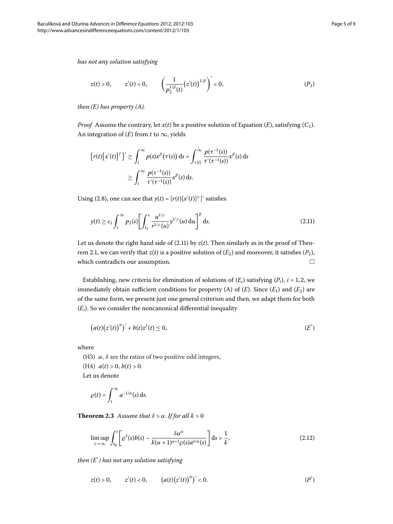*has not any solution satisfying*

<span id="page-4-1"></span>
$$
z(t) > 0
$$
,  $z'(t) < 0$ ,  $\left(\frac{1}{p_2^{1/\beta}(t)}(z'(t))^{1/\beta}\right)' < 0$ ,  $(P_2)$ 

*then ([E\)](#page-0-1) has property (A).*

*Proof* Assume the contrary, let  $x(t)$  be a positive solution of [E](#page-0-1)quation (*E*), satisfying (*C*<sub>2</sub>). An integration of  $(E)$  $(E)$  $(E)$  from  $t$  to  $\infty$ , yields

<span id="page-4-0"></span>
$$
\left[r(t)\left[x'(t)\right]'\right]' \geq \int_t^{\infty} p(s)x^{\beta}(\tau(s)) ds = \int_{\tau(t)}^{\infty} \frac{p(\tau^{-1}(s))}{\tau'(\tau^{-1}(s))} x^{\beta}(s) ds
$$

$$
\geq \int_t^{\infty} \frac{p(\tau^{-1}(s))}{\tau'(\tau^{-1}(s))} x^{\beta}(s) ds.
$$

Using (2.8), one can see that  $y(t) = [r(t)[x'(t)]^{\gamma}]'$  satisfies

<span id="page-4-2"></span>
$$
y(t) \ge c_1 \int_t^{\infty} p_2(s) \left[ \int_{t_1}^s \frac{u^{1/\gamma}}{r^{1/\gamma}(u)} y^{1/\gamma}(u) du \right]^{\beta} ds.
$$
 (2.11)

Let us denote the right hand side of  $(2.11)$  by  $z(t)$ . Then similarly as in the proof of Theorem 2.1, we can verify that  $z(t)$  is a positive solution of  $(E_2)$  $(E_2)$  $(E_2)$  and moreover, it satisfies  $(P_2)$  $(P_2)$  $(P_2)$ , which contradicts our assumption.  $\Box$ 

Establishing, new criteria for elimination of solutions of  $(E_i)$  satisfying  $(P_i)$ ,  $i = 1, 2$ , we immediately obtain sufficient conditions for property (A) of  $(E)$  $(E)$  $(E)$ . Since  $(E_1)$  and  $(E_2)$  are of the same form, we present just one general criterion and then, we adapt them for both (*Ei*). So we consider the noncanonical differential inequality

$$
(a(t)(z'(t))^{\alpha})' + b(t)z^{\delta}(t) \leq 0, \qquad (E^*)
$$

<span id="page-4-5"></span>where

(H3)  $\alpha$ ,  $\delta$  are the ratios of two positive odd integers,

(H4)  $a(t) > 0, b(t) > 0.$ 

Let us denote

<span id="page-4-4"></span>
$$
\varrho(t)=\int_t^\infty a^{-1/\alpha}(s)\,\mathrm{d} s.
$$

**Theorem 2.3** Assume that  $\delta > \alpha$ . If for all  $k > 0$ 

<span id="page-4-3"></span>
$$
\limsup_{t \to \infty} \int_{t_0}^t \left[ \varrho^{\delta}(s) b(s) - \frac{\delta \alpha^{\alpha}}{k(\alpha + 1)^{\alpha + 1} \varrho(s) a^{1/\alpha}(s)} \right] ds > \frac{1}{k},\tag{2.12}
$$

*then ([E](#page-4-2)*\* *) has not any solution satisfying*

$$
z(t) > 0
$$
,  $z'(t) < 0$ ,  $(a(t)(z'(t))^{\alpha})' < 0$ .  $(P^*)$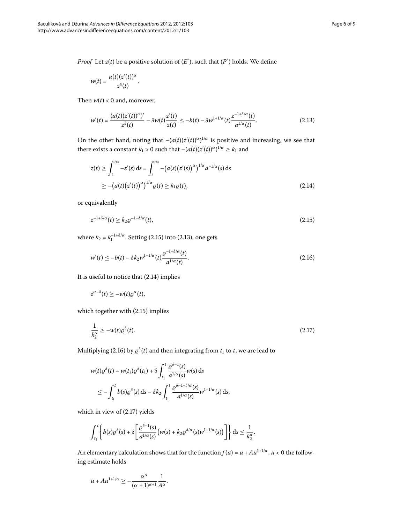<span id="page-5-1"></span>
$$
w(t)=\frac{a(t)(z'(t))^{\alpha}}{z^{\delta}(t)}.
$$

<span id="page-5-2"></span>Then  $w(t) < 0$  and, moreover,

$$
w'(t) = \frac{(a(t)(z'(t))^{\alpha})'}{z^{\delta}(t)} - \delta w(t) \frac{z'(t)}{z(t)} \leq -b(t) - \delta w^{1+1/\alpha}(t) \frac{z^{-1+\delta/\alpha}(t)}{a^{1/\alpha}(t)}.
$$
 (2.13)

On the other hand, noting that  $-(a(t)(z'(t))^{\alpha})^{1/\alpha}$  is positive and increasing, we see that there exists a constant  $k_1 > 0$  such that  $-(a(t)(z'(t))^{\alpha})^{1/\alpha} \geq k_1$  and

<span id="page-5-0"></span>
$$
z(t) \ge \int_{t}^{\infty} -z'(s) ds = \int_{t}^{\infty} -\left(a(s)\left(z'(s)\right)^{\alpha}\right)^{1/\alpha} a^{-1/\alpha}(s) ds
$$
  
 
$$
\ge -\left(a(t)\left(z'(t)\right)^{\alpha}\right)^{1/\alpha} \varrho(t) \ge k_1 \varrho(t), \tag{2.14}
$$

or equivalently

<span id="page-5-3"></span>
$$
z^{-1+\delta/\alpha}(t) \ge k_2 \varrho^{-1+\delta/\alpha}(t),\tag{2.15}
$$

where  $k_2 = k_1^{-1+\delta/\alpha}$ [.](#page-5-1) Setting (2.15) into (2.13), one gets

<span id="page-5-4"></span>
$$
w'(t) \le -b(t) - \delta k_2 w^{1+1/\alpha}(t) \frac{\varrho^{-1+\delta/\alpha}(t)}{a^{1/\alpha}(t)}.
$$
\n(2.16)

It is useful to notice that  $(2.14)$  implies

$$
z^{\alpha-\delta}(t)\geq -w(t)\varrho^{\alpha}(t),
$$

which together with  $(2.15)$  $(2.15)$  $(2.15)$  implies

$$
\frac{1}{k_2^{\alpha}} \ge -w(t)\varrho^{\delta}(t). \tag{2.17}
$$

Multiplying (2[.](#page-5-3)16) by  $\rho^{\delta}(t)$  and then integrating from  $t_1$  to  $t$ , we are lead to

$$
w(t)\varrho^{\delta}(t) - w(t_1)\varrho^{\delta}(t_1) + \delta \int_{t_1}^t \frac{\varrho^{\delta-1}(s)}{a^{1/\alpha}(s)} w(s) ds
$$
  

$$
\leq - \int_{t_1}^t b(s)\varrho^{\delta}(s) ds - \delta k_2 \int_{t_1}^t \frac{\varrho^{\delta-1+\delta/\alpha}(s)}{a^{1/\alpha}(s)} w^{1+1/\alpha}(s) ds,
$$

which in view of  $(2.17)$  yields

$$
\int_{t_1}^t \left\{ b(s) \varrho^\delta(s) + \delta \left[ \frac{\varrho^{\delta-1}(s)}{a^{1/\alpha}(s)} \big( w(s) + k_2 \varrho^{\delta/\alpha}(s) w^{1+1/\alpha}(s) \big) \right] \right\} ds \leq \frac{1}{k_2^{\alpha}}.
$$

An elementary calculation shows that for the function  $f(u) = u + A u^{1+1/\alpha}$ ,  $u < 0$  the following estimate holds

$$
u + A u^{1+1/\alpha} \ge -\frac{\alpha^{\alpha}}{(\alpha+1)^{\alpha+1}} \frac{1}{A^{\alpha}}.
$$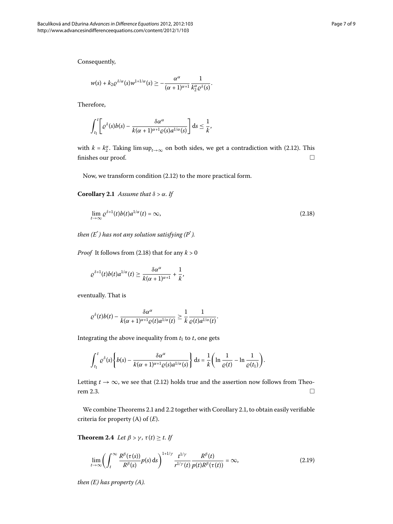Consequently,

$$
w(s)+k_2\varrho^{\delta/\alpha}(s)w^{1+1/\alpha}(s)\geq -\frac{\alpha^\alpha}{(\alpha+1)^{\alpha+1}}\frac{1}{k_2^\alpha\varrho^\delta(s)}.
$$

Therefore,

<span id="page-6-0"></span>
$$
\int_{t_1}^t \left[ \varrho^{\delta}(s) b(s) - \frac{\delta \alpha^{\alpha}}{k(\alpha+1)^{\alpha+1} \varrho(s) a^{1/\alpha}(s)} \right] ds \leq \frac{1}{k},
$$

<span id="page-6-1"></span>with  $k = k_2^{\alpha}$ [.](#page-4-4) Taking  $\limsup_{t\to\infty}$  on both sides, we get a contradiction with (2.12). This finishes our proof.  $\Box$ 

Now, we transform condition  $(2.12)$  to the more practical form.

**Corollary 2.1** Assume that  $\delta > \alpha$ . If

$$
\lim_{t \to \infty} \varrho^{\delta+1}(t) b(t) a^{1/\alpha}(t) = \infty, \tag{2.18}
$$

*then ([E](#page-4-2)*\* *) has not any solution satisfying ([P](#page-4-3)*\* *).*

*Proof* It follows from (2.18) that for any  $k > 0$ 

$$
\varrho^{\delta+1}(t)b(t)a^{1/\alpha}(t)\geq \frac{\delta\alpha^\alpha}{k(\alpha+1)^{\alpha+1}}+\frac{1}{k},
$$

eventually. That is

$$
\varrho^{\delta}(t)b(t)-\frac{\delta\alpha^{\alpha}}{k(\alpha+1)^{\alpha+1}\varrho(t)a^{1/\alpha}(t)}\geq\frac{1}{k}\frac{1}{\varrho(t)a^{1/\alpha}(t)}.
$$

Integrating the above inequality from  $t_1$  to  $t$ , one gets

<span id="page-6-2"></span>
$$
\int_{t_1}^t \varrho^{\delta}(s) \left\{ b(s) - \frac{\delta \alpha^{\alpha}}{k(\alpha+1)^{\alpha+1} \varrho(s) a^{1/\alpha}(s)} \right\} ds = \frac{1}{k} \left( \ln \frac{1}{\varrho(t)} - \ln \frac{1}{\varrho(t_1)} \right).
$$

<span id="page-6-3"></span>Letting  $t \to \infty$ , we see that (2.12) holds true and the assertion now follows from Theo-rem 2[.](#page-4-5)3.  $\Box$ 

We combine Theorems 2[.](#page-3-4)1 and 2.2 together with Corollary 2.1, to obtain easily verifiable criteria for property (A) of (*[E](#page-0-1)*).

**Theorem 2.4** *Let*  $\beta > \gamma$ ,  $\tau(t) \geq t$ . If

$$
\lim_{t \to \infty} \left( \int_{t}^{\infty} \frac{R^{\beta}(\tau(s))}{R^{\beta}(s)} p(s) \, ds \right)^{1+1/\gamma} \frac{t^{1/\gamma}}{r^{1/\gamma}(t)} \frac{R^{\beta}(t)}{p(t)R^{\beta}(\tau(t))} = \infty, \tag{2.19}
$$

*then ([E\)](#page-0-1) has property (A).*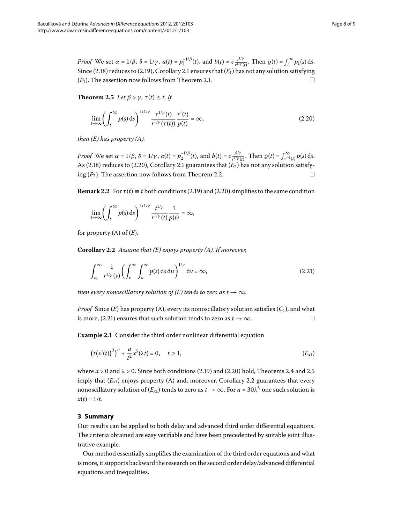<span id="page-7-2"></span>*Proof* We set  $\alpha = 1/\beta$ ,  $\delta = 1/\gamma$ ,  $a(t) = p_1^{-1/\beta}(t)$ , and  $b(t) = c \frac{t^{1/\gamma}}{r^{1/\gamma}(t)}$ . Then  $\varrho(t) = \int_t^{\infty} p_1(s) ds$ . Since (2[.](#page-6-1)18) reduces to (2.19), Corollary 2.1 ensures that  $(E_1)$  $(E_1)$  $(E_1)$  has not any solution satisfying  $(P_1)$  $(P_1)$  $(P_1)$ [.](#page-2-5) The assertion now follows from Theorem 2.1.

**Theorem 2.5** *Let*  $\beta > \gamma$ ,  $\tau(t) < t$ . If

<span id="page-7-0"></span>
$$
\lim_{t \to \infty} \left( \int_t^{\infty} p(s) \, ds \right)^{1+1/\gamma} \frac{\tau^{1/\gamma}(t)}{r^{1/\gamma}(\tau(t))} \frac{\tau'(t)}{p(t)} = \infty, \tag{2.20}
$$

*then ([E\)](#page-0-1) has property (A).*

*Proof* We set  $\alpha = 1/\beta$ ,  $\delta = 1/\gamma$ ,  $a(t) = p_2^{-1/\beta}(t)$ , and  $b(t) = c \frac{t^{1/\gamma}}{r^{1/\gamma}}$  $\int_{r^{1/\gamma}(t)}^{t^{1/\gamma}}$ . Then  $\rho(t) = \int_{r^{-1}(t)}^{\infty} p(s) ds$ . As (2[.](#page-6-1)18) reduces to (2.20), Corollary 2.1 guarantees that  $(E_2)$  $(E_2)$  $(E_2)$  has not any solution satisfying  $(P_2)$  $(P_2)$  $(P_2)$ . The assertion now follows from Theorem 2.2.

<span id="page-7-4"></span>**Remark 2.2** For  $\tau(t) \equiv t$  both conditions (2.19) and (2.20) simplifies to the same condition

<span id="page-7-1"></span>
$$
\lim_{t\to\infty}\left(\int_t^{\infty}p(s)\,\mathrm{d} s\right)^{1+1/\gamma}\frac{t^{1/\gamma}}{r^{1/\gamma}(t)}\frac{1}{p(t)}=\infty,
$$

for property (A) of (*[E](#page-0-1)*).

**Corollary .** *Assume that ([E\)](#page-0-1) enjoys property (A). If moreover,*

<span id="page-7-3"></span>
$$
\int_{t_0}^{\infty} \frac{1}{r^{1/\gamma}(\nu)} \left( \int_{\nu}^{\infty} \int_{u}^{\infty} p(s) \, \mathrm{d}s \, \mathrm{d}u \right)^{1/\gamma} \, \mathrm{d}\nu = \infty, \tag{2.21}
$$

*then every nonoscillatory solution of (<i>E*) *tends to zero as*  $t \to \infty$ *.* 

*Proof* Since  $(E)$  $(E)$  $(E)$  has property  $(A)$ , every its nonoscillatory solution satisfies  $(C_1)$ , and what is more, (2.21) ensures that such solution tends to zero as *t*  $\rightarrow \infty$ .

**Example 2.1** Consider the third order nonlinear differential equation

$$
(t(x'(t))^{3})'' + \frac{a}{t^{2}}x^{5}(\lambda t) = 0, \quad t \ge 1,
$$
 (E<sub>x1</sub>)

where  $a > 0$  and  $\lambda > 0$ [.](#page-7-2) Since both conditions (2.19) and (2.20) hold, Theorems 2.4 and 2.5 imply that  $(E_{x1})$  enjoys property (A) and, moreover, Corollary 2[.](#page-7-4)2 guarantees that every nonoscillatory solution of  $(E_{x1})$  tends to zero as  $t \to \infty$ . For  $a = 30\lambda^5$  one such solution is  $x(t) = 1/t$ .

# **3 Summary**

Our results can be applied to both delay and advanced third order differential equations. The criteria obtained are easy verifiable and have been precedented by suitable joint illustrative example.

Our method essentially simplifies the examination of the third order equations and what is more, it supports backward the research on the second order delay/advanced differential equations and inequalities.